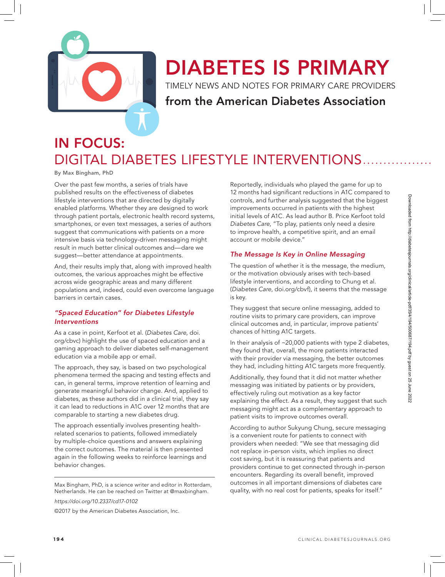

# DIABETES IS PRIMARY

TIMELY NEWS AND NOTES FOR PRIMARY CARE PROVIDERS

### from the American Diabetes Association

# IN FOCUS: DIGITAL DIABETES LIFESTYLE INTERVENTIONS.

By Max Bingham, PhD

Over the past few months, a series of trials have published results on the effectiveness of diabetes lifestyle interventions that are directed by digitally enabled platforms. Whether they are designed to work through patient portals, electronic health record systems, smartphones, or even text messages, a series of authors suggest that communications with patients on a more intensive basis via technology-driven messaging might result in much better clinical outcomes and—dare we suggest—better attendance at appointments.

And, their results imply that, along with improved health outcomes, the various approaches might be effective across wide geographic areas and many different populations and, indeed, could even overcome language barriers in certain cases.

### *"Spaced Education" for Diabetes Lifestyle Interventions*

As a case in point, Kerfoot et al. (*Diabetes Care*, doi. org/cbvc) highlight the use of spaced education and a gaming approach to deliver diabetes self-management education via a mobile app or email.

The approach, they say, is based on two psychological phenomena termed the spacing and testing effects and can, in general terms, improve retention of learning and generate meaningful behavior change. And, applied to diabetes, as these authors did in a clinical trial, they say it can lead to reductions in A1C over 12 months that are comparable to starting a new diabetes drug.

The approach essentially involves presenting healthrelated scenarios to patients, followed immediately by multiple-choice questions and answers explaining the correct outcomes. The material is then presented again in the following weeks to reinforce learnings and behavior changes.

Max Bingham, PhD, is a science writer and editor in Rotterdam, Netherlands. He can be reached on Twitter at @maxbingham.

*https://doi.org/10.2337/cd17-0102*

©2017 by the American Diabetes Association, Inc.

Reportedly, individuals who played the game for up to 12 months had significant reductions in A1C compared to controls, and further analysis suggested that the biggest improvements occurred in patients with the highest initial levels of A1C. As lead author B. Price Kerfoot told *Diabetes Care*, "To play, patients only need a desire to improve health, a competitive spirit, and an email account or mobile device."

### *The Message Is Key in Online Messaging*

The question of whether it is the message, the medium, or the motivation obviously arises with tech-based lifestyle interventions, and according to Chung et al. (*Diabetes Care*, doi.org/cbvf), it seems that the message is key.

They suggest that secure online messaging, added to routine visits to primary care providers, can improve clinical outcomes and, in particular, improve patients' chances of hitting A1C targets.

In their analysis of ~20,000 patients with type 2 diabetes, they found that, overall, the more patients interacted with their provider via messaging, the better outcomes they had, including hitting A1C targets more frequently.

Additionally, they found that it did not matter whether messaging was initiated by patients or by providers, effectively ruling out motivation as a key factor explaining the effect. As a result, they suggest that such messaging might act as a complementary approach to patient visits to improve outcomes overall.

According to author Sukyung Chung, secure messaging is a convenient route for patients to connect with providers when needed: "We see that messaging did not replace in-person visits, which implies no direct cost saving, but it is reassuring that patients and providers continue to get connected through in-person encounters. Regarding its overall benefit, improved outcomes in all important dimensions of diabetes care quality, with no real cost for patients, speaks for itself."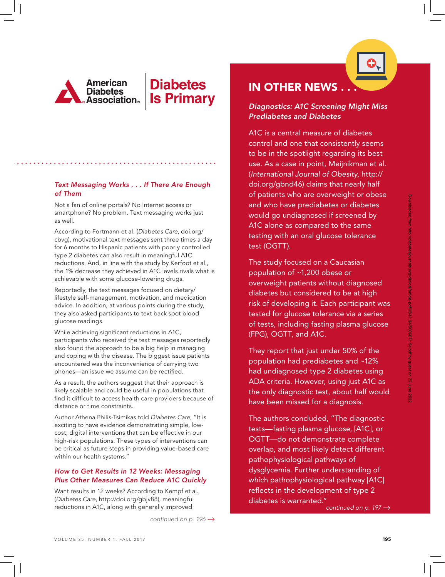

# **Diabetes Is Primary**



Not a fan of online portals? No Internet access or smartphone? No problem. Text messaging works just as well.

According to Fortmann et al. (*Diabetes Care*, doi.org/ cbvg), motivational text messages sent three times a day for 6 months to Hispanic patients with poorly controlled type 2 diabetes can also result in meaningful A1C reductions. And, in line with the study by Kerfoot et al., the 1% decrease they achieved in A1C levels rivals what is achievable with some glucose-lowering drugs.

Reportedly, the text messages focused on dietary/ lifestyle self-management, motivation, and medication advice. In addition, at various points during the study, they also asked participants to text back spot blood glucose readings.

While achieving significant reductions in A1C, participants who received the text messages reportedly also found the approach to be a big help in managing and coping with the disease. The biggest issue patients encountered was the inconvenience of carrying two phones—an issue we assume can be rectified.

As a result, the authors suggest that their approach is likely scalable and could be useful in populations that find it difficult to access health care providers because of distance or time constraints.

Author Athena Philis-Tsimikas told *Diabetes Care*, "It is exciting to have evidence demonstrating simple, lowcost, digital interventions that can be effective in our high-risk populations. These types of interventions can be critical as future steps in providing value-based care within our health systems."

### *How to Get Results in 12 Weeks: Messaging Plus Other Measures Can Reduce A1C Quickly*

Want results in 12 weeks? According to Kempf et al. (*Diabetes Care*, http://doi.org/gbjv88), meaningful reductions in A1C, along with generally improved

*continued on p. 196* →

## **IN OTHER NEWS**

### *Diagnostics: A1C Screening Might Miss Prediabetes and Diabetes*

A1C is a central measure of diabetes control and one that consistently seems to be in the spotlight regarding its best use. As a case in point, Meijnikman et al. (*International Journal of Obesity*, http:// doi.org/gbnd46) claims that nearly half of patients who are overweight or obese and who have prediabetes or diabetes would go undiagnosed if screened by A1C alone as compared to the same testing with an oral glucose tolerance test (OGTT).

The study focused on a Caucasian population of ~1,200 obese or overweight patients without diagnosed diabetes but considered to be at high risk of developing it. Each participant was tested for glucose tolerance via a series of tests, including fasting plasma glucose (FPG), OGTT, and A1C.

They report that just under 50% of the population had prediabetes and ~12% had undiagnosed type 2 diabetes using ADA criteria. However, using just A1C as the only diagnostic test, about half would have been missed for a diagnosis.

The authors concluded, "The diagnostic tests—fasting plasma glucose, [A1C], or OGTT—do not demonstrate complete overlap, and most likely detect different pathophysiological pathways of dysglycemia. Further understanding of which pathophysiological pathway [A1C] reflects in the development of type 2 diabetes is warranted."

*continued on p. 197* →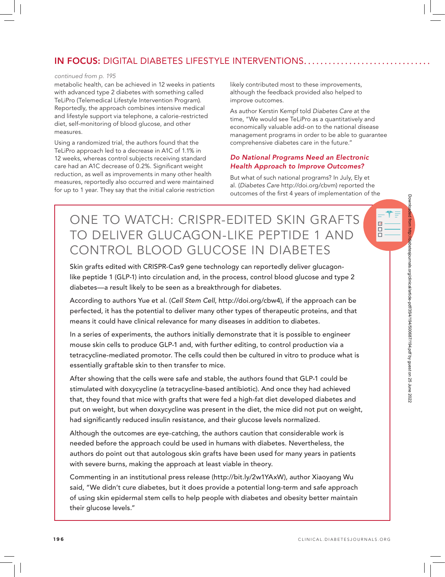### IN FOCUS: DIGITAL DIABETES LIFESTYLE INTERVENTIONS

#### *continued from p. 195*

metabolic health, can be achieved in 12 weeks in patients with advanced type 2 diabetes with something called TeLiPro (Telemedical Lifestyle Intervention Program). Reportedly, the approach combines intensive medical and lifestyle support via telephone, a calorie-restricted diet, self-monitoring of blood glucose, and other measures.

Using a randomized trial, the authors found that the TeLiPro approach led to a decrease in A1C of 1.1% in 12 weeks, whereas control subjects receiving standard care had an A1C decrease of 0.2%. Significant weight reduction, as well as improvements in many other health measures, reportedly also occurred and were maintained for up to 1 year. They say that the initial calorie restriction likely contributed most to these improvements, although the feedback provided also helped to improve outcomes.

As author Kerstin Kempf told *Diabetes Care* at the time, "We would see TeLiPro as a quantitatively and economically valuable add-on to the national disease management programs in order to be able to guarantee comprehensive diabetes care in the future."

### *Do National Programs Need an Electronic Health Approach to Improve Outcomes?*

But what of such national programs? In July, Ely et al. (*Diabetes Care* http://doi.org/cbvm) reported the outcomes of the first 4 years of implementation of the

# ONE TO WATCH: CRISPR-EDITED SKIN GRAFTS TO DELIVER GLUCAGON-LIKE PEPTIDE 1 AND CONTROL BLOOD GLUCOSE IN DIABETES

Skin grafts edited with CRISPR-Cas9 gene technology can reportedly deliver glucagonlike peptide 1 (GLP-1) into circulation and, in the process, control blood glucose and type 2 diabetes—a result likely to be seen as a breakthrough for diabetes.

According to authors Yue et al. (*Cell Stem Cell*, http://doi.org/cbw4), if the approach can be perfected, it has the potential to deliver many other types of therapeutic proteins, and that means it could have clinical relevance for many diseases in addition to diabetes.

In a series of experiments, the authors initially demonstrate that it is possible to engineer mouse skin cells to produce GLP-1 and, with further editing, to control production via a tetracycline-mediated promotor. The cells could then be cultured in vitro to produce what is essentially graftable skin to then transfer to mice.

After showing that the cells were safe and stable, the authors found that GLP-1 could be stimulated with doxycycline (a tetracycline-based antibiotic). And once they had achieved that, they found that mice with grafts that were fed a high-fat diet developed diabetes and put on weight, but when doxycycline was present in the diet, the mice did not put on weight, had significantly reduced insulin resistance, and their glucose levels normalized.

Although the outcomes are eye-catching, the authors caution that considerable work is needed before the approach could be used in humans with diabetes. Nevertheless, the authors do point out that autologous skin grafts have been used for many years in patients with severe burns, making the approach at least viable in theory.

Commenting in an institutional press release (http://bit.ly/2w1YAxW), author Xiaoyang Wu said, "We didn't cure diabetes, but it does provide a potential long-term and safe approach of using skin epidermal stem cells to help people with diabetes and obesity better maintain their glucose levels."

 $\blacktriangledown$  $\Box$  $\Box$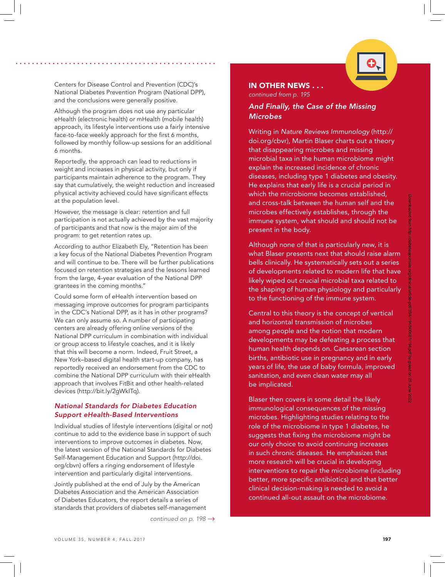

Centers for Disease Control and Prevention (CDC)'s National Diabetes Prevention Program (National DPP), and the conclusions were generally positive.

Although the program does not use any particular eHealth (electronic health) or mHealth (mobile health) approach, its lifestyle interventions use a fairly intensive face-to-face weekly approach for the first 6 months, followed by monthly follow-up sessions for an additional 6 months.

Reportedly, the approach can lead to reductions in weight and increases in physical activity, but only if participants maintain adherence to the program. They say that cumulatively, the weight reduction and increased physical activity achieved could have significant effects at the population level.

However, the message is clear: retention and full participation is not actually achieved by the vast majority of participants and that now is the major aim of the program: to get retention rates up.

According to author Elizabeth Ely, "Retention has been a key focus of the National Diabetes Prevention Program and will continue to be. There will be further publications focused on retention strategies and the lessons learned from the large, 4-year evaluation of the National DPP grantees in the coming months."

Could some form of eHealth intervention based on messaging improve outcomes for program participants in the CDC's National DPP, as it has in other programs? We can only assume so. A number of participating centers are already offering online versions of the National DPP curriculum in combination with individual or group access to lifestyle coaches, and it is likely that this will become a norm. Indeed, Fruit Street, a New York–based digital health start-up company, has reportedly received an endorsement from the CDC to combine the National DPP curriculum with their eHealth approach that involves FitBit and other health-related devices (http://bit.ly/2gWkITq).

#### *National Standards for Diabetes Education Support eHealth-Based Interventions*

Individual studies of lifestyle interventions (digital or not) continue to add to the evidence base in support of such interventions to improve outcomes in diabetes. Now, the latest version of the National Standards for Diabetes Self-Management Education and Support (http://doi. org/cbvn) offers a ringing endorsement of lifestyle intervention and particularly digital interventions.

Jointly published at the end of July by the American Diabetes Association and the American Association of Diabetes Educators, the report details a series of standards that providers of diabetes self-management

*continued on p. 198* →

#### IN OTHER NEWS . . .

*continued from p. 195*

### *And Finally, the Case of the Missing Microbes*

Writing in *Nature Reviews Immunology* (http:// doi.org/cbvr), Martin Blaser charts out a theory that disappearing microbes and missing microbial taxa in the human microbiome might explain the increased incidence of chronic diseases, including type 1 diabetes and obesity. He explains that early life is a crucial period in which the microbiome becomes established, and cross-talk between the human self and the microbes effectively establishes, through the immune system, what should and should not be present in the body.

Although none of that is particularly new, it is what Blaser presents next that should raise alarm bells clinically. He systematically sets out a series of developments related to modern life that have likely wiped out crucial microbial taxa related to the shaping of human physiology and particularly to the functioning of the immune system.

Central to this theory is the concept of vertical and horizontal transmission of microbes among people and the notion that modern developments may be defeating a process that human health depends on. Caesarean section births, antibiotic use in pregnancy and in early years of life, the use of baby formula, improved sanitation, and even clean water may all be implicated.

Blaser then covers in some detail the likely immunological consequences of the missing microbes. Highlighting studies relating to the role of the microbiome in type 1 diabetes, he suggests that fixing the microbiome might be our only choice to avoid continuing increases in such chronic diseases. He emphasizes that more research will be crucial in developing interventions to repair the microbiome (including better, more specific antibiotics) and that better clinical decision-making is needed to avoid a continued all-out assault on the microbiome.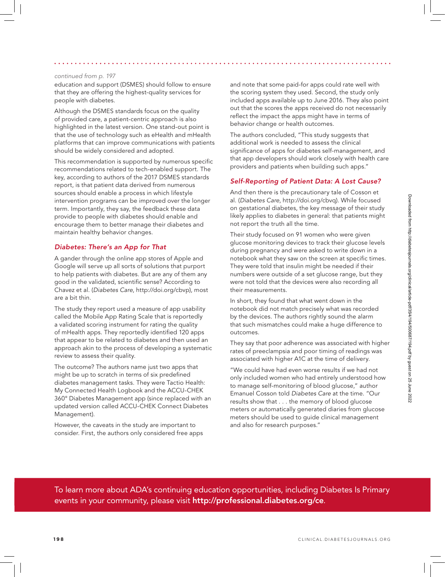#### *continued from p. 197*

education and support (DSMES) should follow to ensure that they are offering the highest-quality services for people with diabetes.

Although the DSMES standards focus on the quality of provided care, a patient-centric approach is also highlighted in the latest version. One stand-out point is that the use of technology such as eHealth and mHealth platforms that can improve communications with patients should be widely considered and adopted.

This recommendation is supported by numerous specific recommendations related to tech-enabled support. The key, according to authors of the 2017 DSMES standards report, is that patient data derived from numerous sources should enable a process in which lifestyle intervention programs can be improved over the longer term. Importantly, they say, the feedback these data provide to people with diabetes should enable and encourage them to better manage their diabetes and maintain healthy behavior changes.

### *Diabetes: There's an App for That*

A gander through the online app stores of Apple and Google will serve up all sorts of solutions that purport to help patients with diabetes. But are any of them any good in the validated, scientific sense? According to Chavez et al. (*Diabetes Care*, http://doi.org/cbvp), most are a bit thin.

The study they report used a measure of app usability called the Mobile App Rating Scale that is reportedly a validated scoring instrument for rating the quality of mHealth apps. They reportedly identified 120 apps that appear to be related to diabetes and then used an approach akin to the process of developing a systematic review to assess their quality.

The outcome? The authors name just two apps that might be up to scratch in terms of six predefined diabetes management tasks. They were Tactio Health: My Connected Health Logbook and the ACCU-CHEK 360° Diabetes Management app (since replaced with an updated version called ACCU-CHEK Connect Diabetes Management).

However, the caveats in the study are important to consider. First, the authors only considered free apps and note that some paid-for apps could rate well with the scoring system they used. Second, the study only included apps available up to June 2016. They also point out that the scores the apps received do not necessarily reflect the impact the apps might have in terms of behavior change or health outcomes.

The authors concluded, "This study suggests that additional work is needed to assess the clinical significance of apps for diabetes self-management, and that app developers should work closely with health care providers and patients when building such apps."

### *Self-Reporting of Patient Data: A Lost Cause?*

And then there is the precautionary tale of Cosson et al. (*Diabetes Care*, http://doi.org/cbvq). While focused on gestational diabetes, the key message of their study likely applies to diabetes in general: that patients might not report the truth all the time.

Their study focused on 91 women who were given glucose monitoring devices to track their glucose levels during pregnancy and were asked to write down in a notebook what they saw on the screen at specific times. They were told that insulin might be needed if their numbers were outside of a set glucose range, but they were not told that the devices were also recording all their measurements.

In short, they found that what went down in the notebook did not match precisely what was recorded by the devices. The authors rightly sound the alarm that such mismatches could make a huge difference to outcomes.

They say that poor adherence was associated with higher rates of preeclampsia and poor timing of readings was associated with higher A1C at the time of delivery.

"We could have had even worse results if we had not only included women who had entirely understood how to manage self-monitoring of blood glucose," author Emanuel Cosson told *Diabetes Care* at the time. "Our results show that . . . the memory of blood glucose meters or automatically generated diaries from glucose meters should be used to guide clinical management and also for research purposes."

To learn more about ADA's continuing education opportunities, including Diabetes Is Primary events in your community, please visit http://professional.diabetes.org/ce.